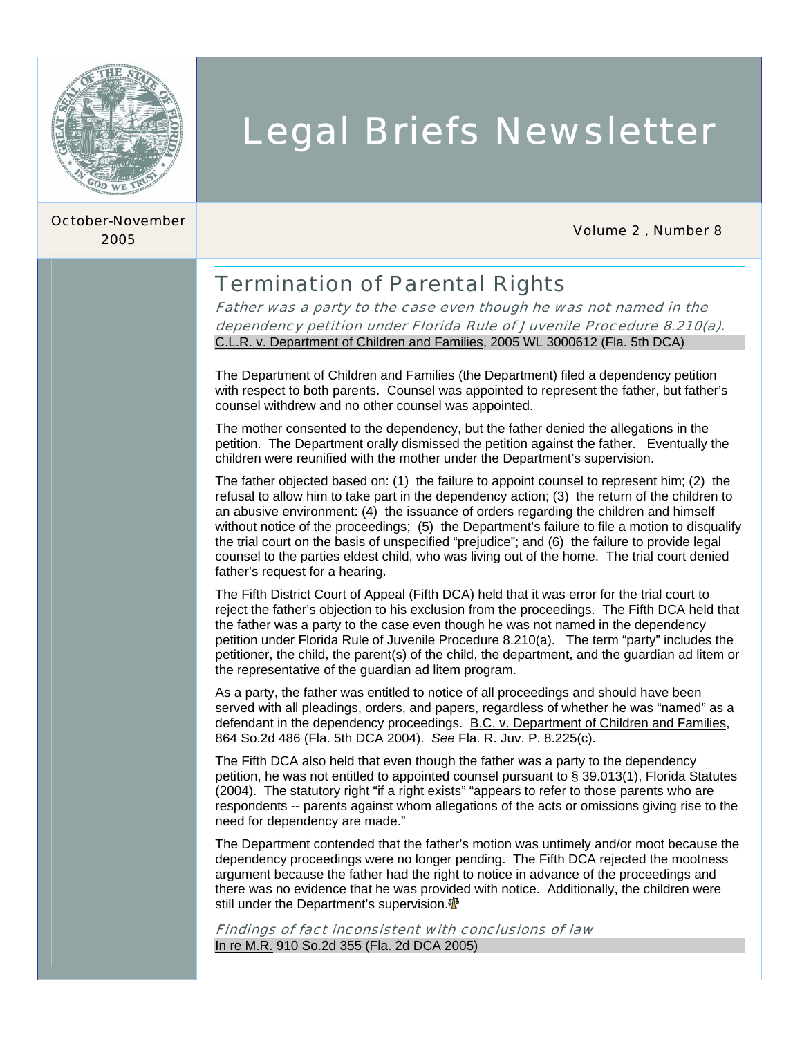

# October-November

### <sup>2005</sup>Volume 2 , Number 8

### Termination of Parental Rights

Father was a party to the case even though he was not named in the dependency petition under Florida Rule of Juvenile Procedure 8.210(a). C.L.R. v. Department of Children and Families, 2005 WL 3000612 (Fla. 5th DCA)

Legal Briefs Newsletter

The Department of Children and Families (the Department) filed a dependency petition with respect to both parents. Counsel was appointed to represent the father, but father's counsel withdrew and no other counsel was appointed.

The mother consented to the dependency, but the father denied the allegations in the petition. The Department orally dismissed the petition against the father. Eventually the children were reunified with the mother under the Department's supervision.

The father objected based on: (1) the failure to appoint counsel to represent him; (2) the refusal to allow him to take part in the dependency action; (3) the return of the children to an abusive environment: (4) the issuance of orders regarding the children and himself without notice of the proceedings; (5) the Department's failure to file a motion to disqualify the trial court on the basis of unspecified "prejudice"; and (6) the failure to provide legal counsel to the parties eldest child, who was living out of the home. The trial court denied father's request for a hearing.

The Fifth District Court of Appeal (Fifth DCA) held that it was error for the trial court to reject the father's objection to his exclusion from the proceedings. The Fifth DCA held that the father was a party to the case even though he was not named in the dependency petition under Florida Rule of Juvenile Procedure 8.210(a). The term "party" includes the petitioner, the child, the parent(s) of the child, the department, and the guardian ad litem or the representative of the guardian ad litem program.

As a party, the father was entitled to notice of all proceedings and should have been served with all pleadings, orders, and papers, regardless of whether he was "named" as a defendant in the dependency proceedings. B.C. v. Department of Children and Families, 864 So.2d 486 (Fla. 5th DCA 2004). *See* Fla. R. Juv. P. 8.225(c).

The Fifth DCA also held that even though the father was a party to the dependency petition, he was not entitled to appointed counsel pursuant to § 39.013(1), Florida Statutes (2004). The statutory right "if a right exists" "appears to refer to those parents who are respondents -- parents against whom allegations of the acts or omissions giving rise to the need for dependency are made."

The Department contended that the father's motion was untimely and/or moot because the dependency proceedings were no longer pending. The Fifth DCA rejected the mootness argument because the father had the right to notice in advance of the proceedings and there was no evidence that he was provided with notice. Additionally, the children were still under the Department's supervision.<sup><sup>16</sup></sup>

Findings of fact inconsistent with conclusions of law In re M.R. 910 So.2d 355 (Fla. 2d DCA 2005)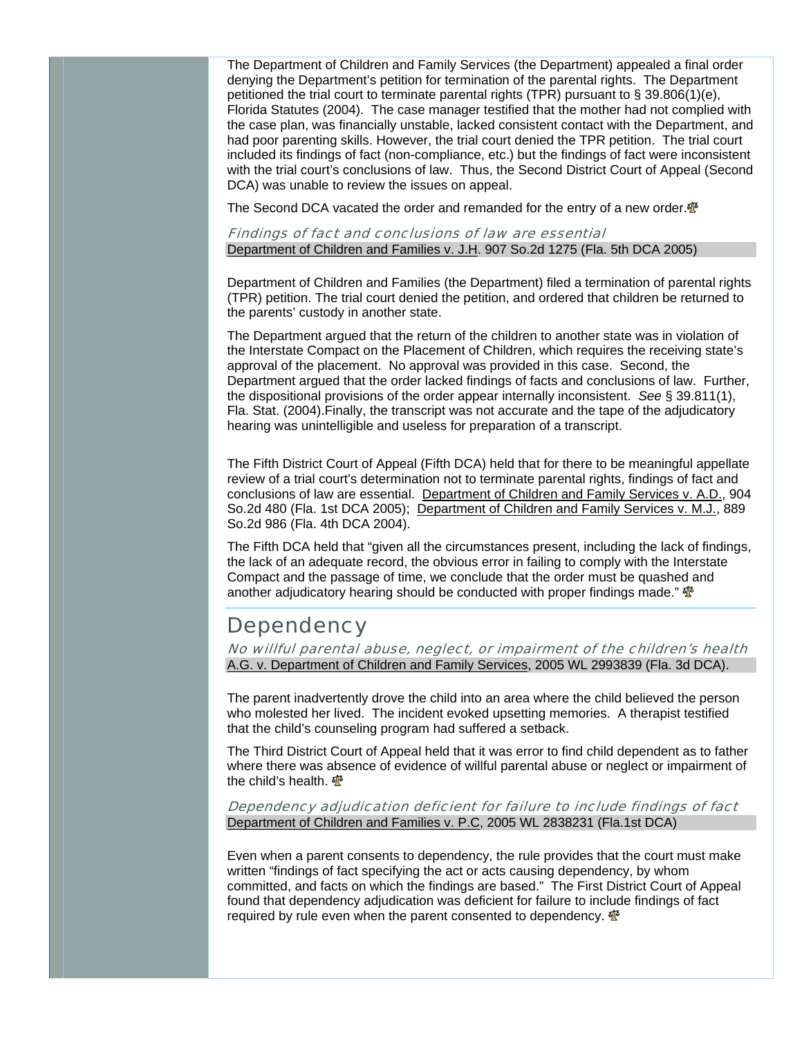The Department of Children and Family Services (the Department) appealed a final order denying the Department's petition for termination of the parental rights. The Department petitioned the trial court to terminate parental rights (TPR) pursuant to § 39.806(1)(e), Florida Statutes (2004). The case manager testified that the mother had not complied with the case plan, was financially unstable, lacked consistent contact with the Department, and had poor parenting skills. However, the trial court denied the TPR petition. The trial court included its findings of fact (non-compliance, etc.) but the findings of fact were inconsistent with the trial court's conclusions of law. Thus, the Second District Court of Appeal (Second DCA) was unable to review the issues on appeal.

The Second DCA vacated the order and remanded for the entry of a new order. $\mathbf{\Phi}$ 

#### Findings of fact and conclusions of law are essential Department of Children and Families v. J.H. 907 So.2d 1275 (Fla. 5th DCA 2005)

Department of Children and Families (the Department) filed a termination of parental rights (TPR) petition. The trial court denied the petition, and ordered that children be returned to the parents' custody in another state.

The Department argued that the return of the children to another state was in violation of the Interstate Compact on the Placement of Children, which requires the receiving state's approval of the placement. No approval was provided in this case. Second, the Department argued that the order lacked findings of facts and conclusions of law. Further, the dispositional provisions of the order appear internally inconsistent. *See* § 39.811(1), Fla. Stat. (2004).Finally, the transcript was not accurate and the tape of the adjudicatory hearing was unintelligible and useless for preparation of a transcript.

The Fifth District Court of Appeal (Fifth DCA) held that for there to be meaningful appellate review of a trial court's determination not to terminate parental rights, findings of fact and conclusions of law are essential. [Department of Children and Family Services v. A.D., 904](http://web2.westlaw.com/find/default.wl?rs=WLW5.11&serialnum=2006563250&tf=-1&db=735&tc=-1&fn=_top&mt=Westlaw&vr=2.0&sv=Split&rp=%2ffind%2fdefault.wl&findtype=Y)  [So.2d 480 \(Fla. 1st DCA 2005\)](http://web2.westlaw.com/find/default.wl?rs=WLW5.11&serialnum=2006563250&tf=-1&db=735&tc=-1&fn=_top&mt=Westlaw&vr=2.0&sv=Split&rp=%2ffind%2fdefault.wl&findtype=Y); [Department of Children and Family Services v. M.J., 889](http://web2.westlaw.com/find/default.wl?rs=WLW5.11&serialnum=2005812965&tf=-1&db=735&tc=-1&fn=_top&mt=Westlaw&vr=2.0&sv=Split&rp=%2ffind%2fdefault.wl&findtype=Y)  [So.2d 986 \(Fla. 4th DCA 2004\).](http://web2.westlaw.com/find/default.wl?rs=WLW5.11&serialnum=2005812965&tf=-1&db=735&tc=-1&fn=_top&mt=Westlaw&vr=2.0&sv=Split&rp=%2ffind%2fdefault.wl&findtype=Y)

The Fifth DCA held that "given all the circumstances present, including the lack of findings, the lack of an adequate record, the obvious error in failing to comply with the Interstate Compact and the passage of time, we conclude that the order must be quashed and another adjudicatory hearing should be conducted with proper findings made."  $\mathbf{\Phi}$ 

### **Dependency**

No willful parental abuse, neglect, or impairment of the children's health A.G. v. Department of Children and Family Services, 2005 WL 2993839 (Fla. 3d DCA).

The parent inadvertently drove the child into an area where the child believed the person who molested her lived. The incident evoked upsetting memories. A therapist testified that the child's counseling program had suffered a setback.

The Third District Court of Appeal held that it was error to find child dependent as to father where there was absence of evidence of willful parental abuse or neglect or impairment of the child's health.  $\frac{4}{3}$ 

Dependency adjudication deficient for failure to include findings of fact Department of Children and Families v. P.C, 2005 WL 2838231 (Fla.1st DCA)

Even when a parent consents to dependency, the rule provides that the court must make written "findings of fact specifying the act or acts causing dependency, by whom committed, and facts on which the findings are based." The First District Court of Appeal found that dependency adjudication was deficient for failure to include findings of fact required by rule even when the parent consented to dependency.  $\mathbf{\Phi}$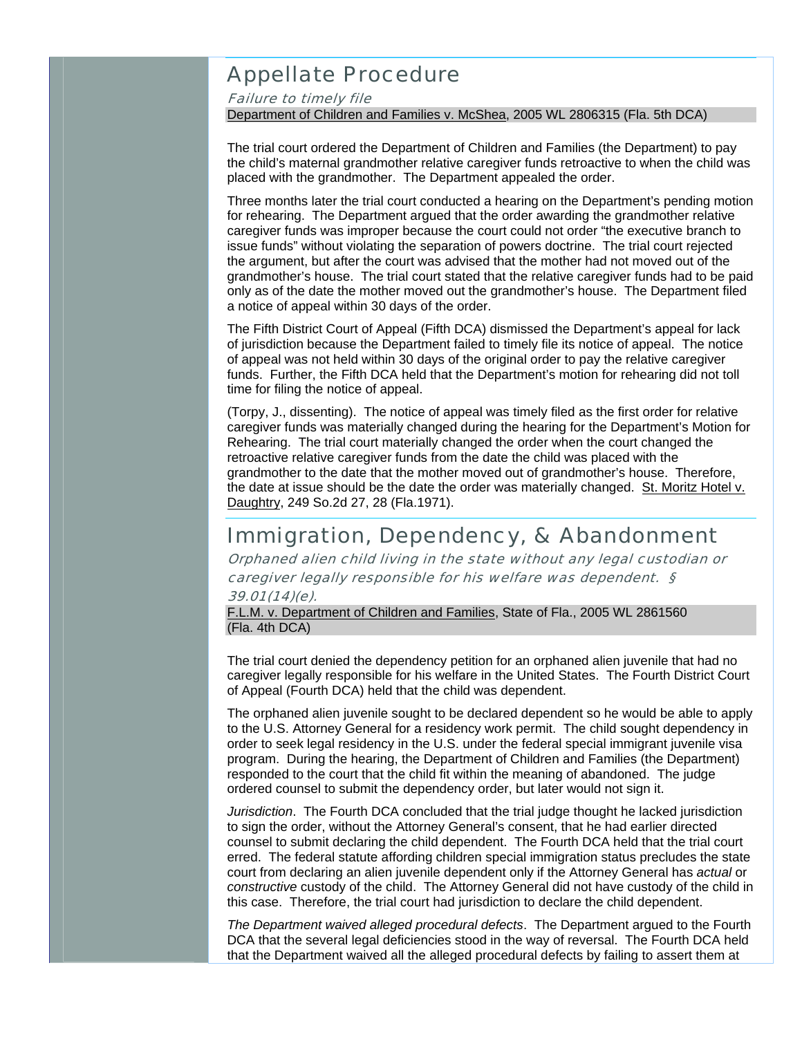### Appellate Procedure

Failure to timely file Department of Children and Families v. McShea, 2005 WL 2806315 (Fla. 5th DCA)

The trial court ordered the Department of Children and Families (the Department) to pay the child's maternal grandmother relative caregiver funds retroactive to when the child was placed with the grandmother. The Department appealed the order.

Three months later the trial court conducted a hearing on the Department's pending motion for rehearing. The Department argued that the order awarding the grandmother relative caregiver funds was improper because the court could not order "the executive branch to issue funds" without violating the separation of powers doctrine. The trial court rejected the argument, but after the court was advised that the mother had not moved out of the grandmother's house. The trial court stated that the relative caregiver funds had to be paid only as of the date the mother moved out the grandmother's house. The Department filed a notice of appeal within 30 days of the order.

The Fifth District Court of Appeal (Fifth DCA) dismissed the Department's appeal for lack of jurisdiction because the Department failed to timely file its notice of appeal. The notice of appeal was not held within 30 days of the original order to pay the relative caregiver funds. Further, the Fifth DCA held that the Department's motion for rehearing did not toll time for filing the notice of appeal.

(Torpy, J., dissenting). The notice of appeal was timely filed as the first order for relative caregiver funds was materially changed during the hearing for the Department's Motion for Rehearing. The trial court materially changed the order when the court changed the retroactive relative caregiver funds from the date the child was placed with the grandmother to the date that the mother moved out of grandmother's house. Therefore, the date at issue should be the date the order was materially changed. St. Moritz Hotel v. Daughtry, 249 So.2d 27, 28 (Fla.1971).

### Immigration, Dependency, & Abandonment

Orphaned alien child living in the state without any legal custodian or caregiver legally responsible for his welfare was dependent. § 39.01(14)(e).

F.L.M. v. Department of Children and Families, State of Fla., 2005 WL 2861560 (Fla. 4th DCA)

The trial court denied the dependency petition for an orphaned alien juvenile that had no caregiver legally responsible for his welfare in the United States. The Fourth District Court of Appeal (Fourth DCA) held that the child was dependent.

The orphaned alien juvenile sought to be declared dependent so he would be able to apply to the U.S. Attorney General for a residency work permit. The child sought dependency in order to seek legal residency in the U.S. under the federal special immigrant juvenile visa program. During the hearing, the Department of Children and Families (the Department) responded to the court that the child fit within the meaning of abandoned. The judge ordered counsel to submit the dependency order, but later would not sign it.

*Jurisdiction*. The Fourth DCA concluded that the trial judge thought he lacked jurisdiction to sign the order, without the Attorney General's consent, that he had earlier directed counsel to submit declaring the child dependent. The Fourth DCA held that the trial court erred. The federal statute affording children special immigration status precludes the state court from declaring an alien juvenile dependent only if the Attorney General has *actual* or *constructive* custody of the child. The Attorney General did not have custody of the child in this case. Therefore, the trial court had jurisdiction to declare the child dependent.

*The Department waived alleged procedural defects*. The Department argued to the Fourth DCA that the several legal deficiencies stood in the way of reversal. The Fourth DCA held that the Department waived all the alleged procedural defects by failing to assert them at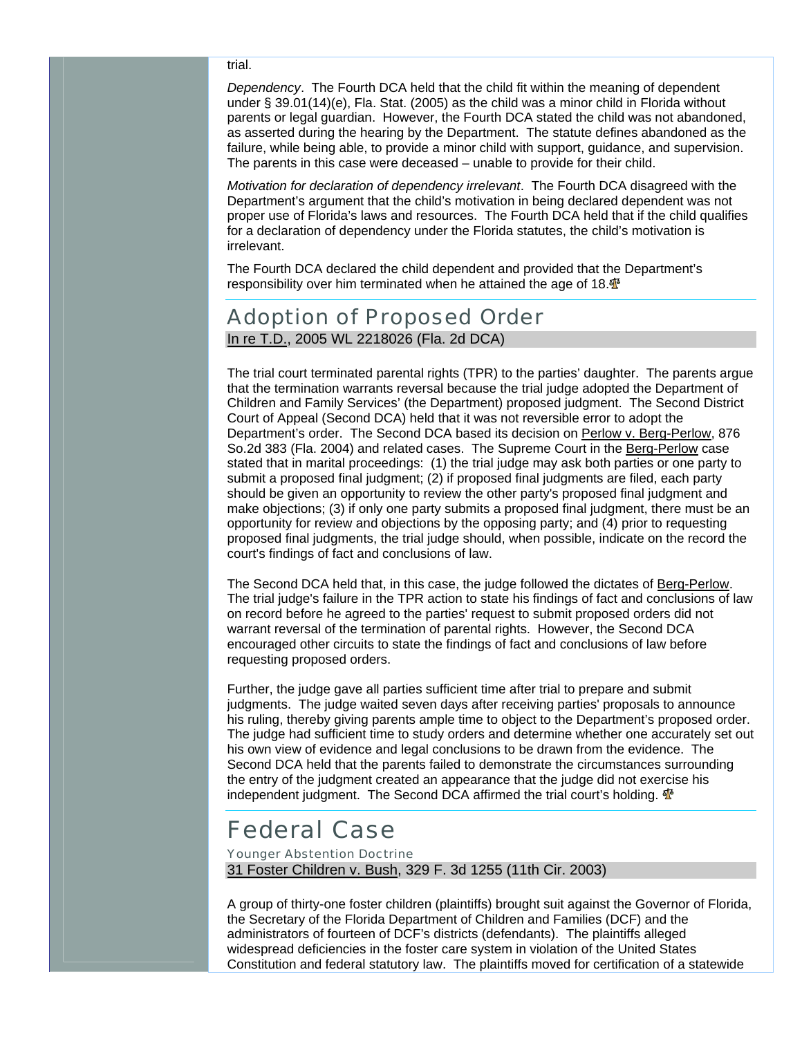### trial.

*Dependency*. The Fourth DCA held that the child fit within the meaning of dependent under § 39.01(14)(e), Fla. Stat. (2005) as the child was a minor child in Florida without parents or legal guardian. However, the Fourth DCA stated the child was not abandoned, as asserted during the hearing by the Department. The statute defines abandoned as the failure, while being able, to provide a minor child with support, guidance, and supervision. The parents in this case were deceased – unable to provide for their child.

*Motivation for declaration of dependency irrelevant*. The Fourth DCA disagreed with the Department's argument that the child's motivation in being declared dependent was not proper use of Florida's laws and resources. The Fourth DCA held that if the child qualifies for a declaration of dependency under the Florida statutes, the child's motivation is irrelevant.

The Fourth DCA declared the child dependent and provided that the Department's responsibility over him terminated when he attained the age of 18. $\Phi$ 

### Adoption of Proposed Order

In re T.D., 2005 WL 2218026 (Fla. 2d DCA)

The trial court terminated parental rights (TPR) to the parties' daughter. The parents argue that the termination warrants reversal because the trial judge adopted the Department of Children and Family Services' (the Department) proposed judgment. The Second District Court of Appeal (Second DCA) held that it was not reversible error to adopt the Department's order. The Second DCA based its decision on Perlow v. Berg-Perlow, 876 So.2d 383 (Fla. 2004) and related cases. The Supreme Court in the Berg-Perlow case stated that in marital proceedings: (1) the trial judge may ask both parties or one party to submit a proposed final judgment; (2) if proposed final judgments are filed, each party should be given an opportunity to review the other party's proposed final judgment and make objections; (3) if only one party submits a proposed final judgment, there must be an opportunity for review and objections by the opposing party; and (4) prior to requesting proposed final judgments, the trial judge should, when possible, indicate on the record the court's findings of fact and conclusions of law.

The Second DCA held that, in this case, the judge followed the dictates of Berg-Perlow. The trial judge's failure in the TPR action to state his findings of fact and conclusions of law on record before he agreed to the parties' request to submit proposed orders did not warrant reversal of the termination of parental rights. However, the Second DCA encouraged other circuits to state the findings of fact and conclusions of law before requesting proposed orders.

Further, the judge gave all parties sufficient time after trial to prepare and submit judgments. The judge waited seven days after receiving parties' proposals to announce his ruling, thereby giving parents ample time to object to the Department's proposed order. The judge had sufficient time to study orders and determine whether one accurately set out his own view of evidence and legal conclusions to be drawn from the evidence. The Second DCA held that the parents failed to demonstrate the circumstances surrounding the entry of the judgment created an appearance that the judge did not exercise his independent judgment. The Second DCA affirmed the trial court's holding.  $\mathbf{\Phi}$ 

### Federal Case

Younger Abstention Doctrine 31 Foster Children v. Bush, 329 F. 3d 1255 (11th Cir. 2003)

A group of thirty-one foster children (plaintiffs) brought suit against the Governor of Florida, the Secretary of the Florida Department of Children and Families (DCF) and the administrators of fourteen of DCF's districts (defendants). The plaintiffs alleged widespread deficiencies in the foster care system in violation of the United States Constitution and federal statutory law. The plaintiffs moved for certification of a statewide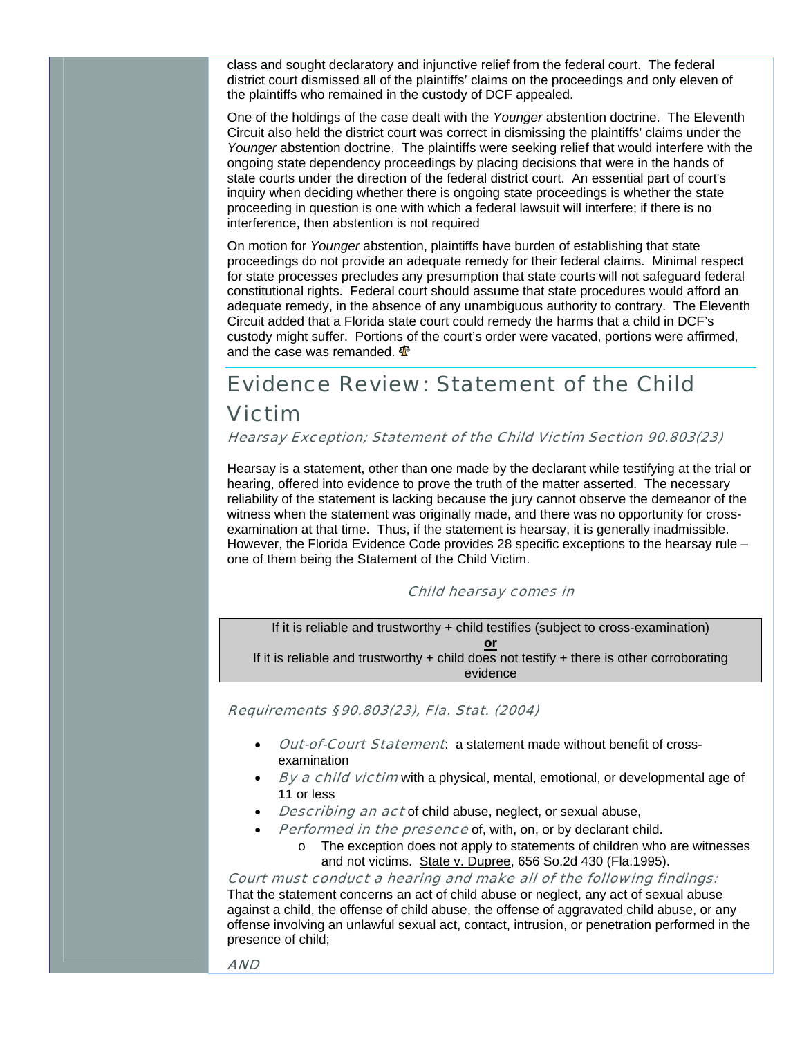class and sought declaratory and injunctive relief from the federal court. The federal district court dismissed all of the plaintiffs' claims on the proceedings and only eleven of the plaintiffs who remained in the custody of DCF appealed.

One of the holdings of the case dealt with the *Younger* abstention doctrine. The Eleventh Circuit also held the district court was correct in dismissing the plaintiffs' claims under the *Younger* abstention doctrine. The plaintiffs were seeking relief that would interfere with the ongoing state dependency proceedings by placing decisions that were in the hands of state courts under the direction of the federal district court. An essential part of court's inquiry when deciding whether there is ongoing state proceedings is whether the state proceeding in question is one with which a federal lawsuit will interfere; if there is no interference, then abstention is not required

On motion for *Younger* abstention, plaintiffs have burden of establishing that state proceedings do not provide an adequate remedy for their federal claims. Minimal respect for state processes precludes any presumption that state courts will not safeguard federal constitutional rights. Federal court should assume that state procedures would afford an adequate remedy, in the absence of any unambiguous authority to contrary. The Eleventh Circuit added that a Florida state court could remedy the harms that a child in DCF's custody might suffer. Portions of the court's order were vacated, portions were affirmed, and the case was remanded.  $\mathbf{\Phi}$ 

## Evidence Review: Statement of the Child Victim

Hearsay Exception; Statement of the Child Victim Section 90.803(23)

Hearsay is a statement, other than one made by the declarant while testifying at the trial or hearing, offered into evidence to prove the truth of the matter asserted. The necessary reliability of the statement is lacking because the jury cannot observe the demeanor of the witness when the statement was originally made, and there was no opportunity for crossexamination at that time. Thus, if the statement is hearsay, it is generally inadmissible. However, the Florida Evidence Code provides 28 specific exceptions to the hearsay rule – one of them being the Statement of the Child Victim.

### Child hearsay comes in

If it is reliable and trustworthy + child testifies (subject to cross-examination) **or**

If it is reliable and trustworthy  $+$  child does not testify  $+$  there is other corroborating evidence

Requirements §90.803(23), Fla. Stat. (2004)

- **Out-of-Court Statement:** a statement made without benefit of crossexamination
- By a child victim with a physical, mental, emotional, or developmental age of 11 or less
- Describing an act of child abuse, neglect, or sexual abuse,
- **Performed in the presence of, with, on, or by declarant child.** 
	- o The exception does not apply to statements of children who are witnesses and not victims. State v. Dupree, 656 So.2d 430 (Fla.1995).

Court must conduct a hearing and make all of the following findings: That the statement concerns an act of child abuse or neglect, any act of sexual abuse against a child, the offense of child abuse, the offense of aggravated child abuse, or any offense involving an unlawful sexual act, contact, intrusion, or penetration performed in the presence of child;

AND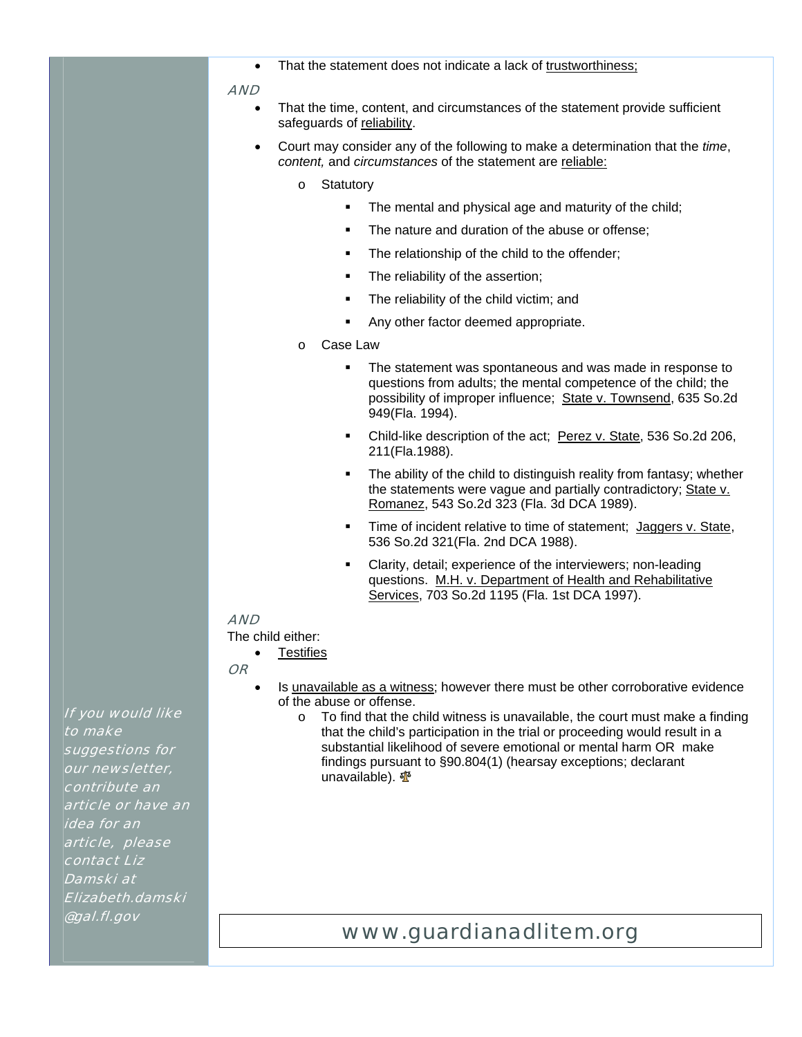That the statement does not indicate a lack of trustworthiness;

#### AND

- That the time, content, and circumstances of the statement provide sufficient safeguards of reliability.
- Court may consider any of the following to make a determination that the *time*, *content,* and *circumstances* of the statement are reliable:
	- o Statutory
		- The mental and physical age and maturity of the child;
		- The nature and duration of the abuse or offense;
		- The relationship of the child to the offender;
		- The reliability of the assertion;
		- The reliability of the child victim; and
		- Any other factor deemed appropriate.
	- o Case Law
		- The statement was spontaneous and was made in response to questions from adults; the mental competence of the child; the possibility of improper influence; State v. Townsend, 635 So.2d 949(Fla. 1994).
		- Child-like description of the act; Perez v. State, 536 So.2d 206, 211(Fla.1988).
		- The ability of the child to distinguish reality from fantasy; whether the statements were vague and partially contradictory; State v. Romanez, 543 So.2d 323 (Fla. 3d DCA 1989).
		- **Time of incident relative to time of statement; Jaggers v. State,** 536 So.2d 321(Fla. 2nd DCA 1988).
		- **EXEC** Clarity, detail; experience of the interviewers; non-leading questions. M.H. v. Department of Health and Rehabilitative Services, 703 So.2d 1195 (Fla. 1st DCA 1997).

#### AND

The child either:

**Testifies** 

OR

- Is unavailable as a witness; however there must be other corroborative evidence of the abuse or offense.
	- o To find that the child witness is unavailable, the court must make a finding that the child's participation in the trial or proceeding would result in a substantial likelihood of severe emotional or mental harm OR make findings pursuant to §90.804(1) (hearsay exceptions; declarant unavailable).  $\Phi$

### [www.guardian](http://www.guardian/)adlitem.org

If you would like to make suggestions for our newsletter, contribute an article or have an idea for an article, please contact Liz Damski at Elizabeth.damski @gal.fl.gov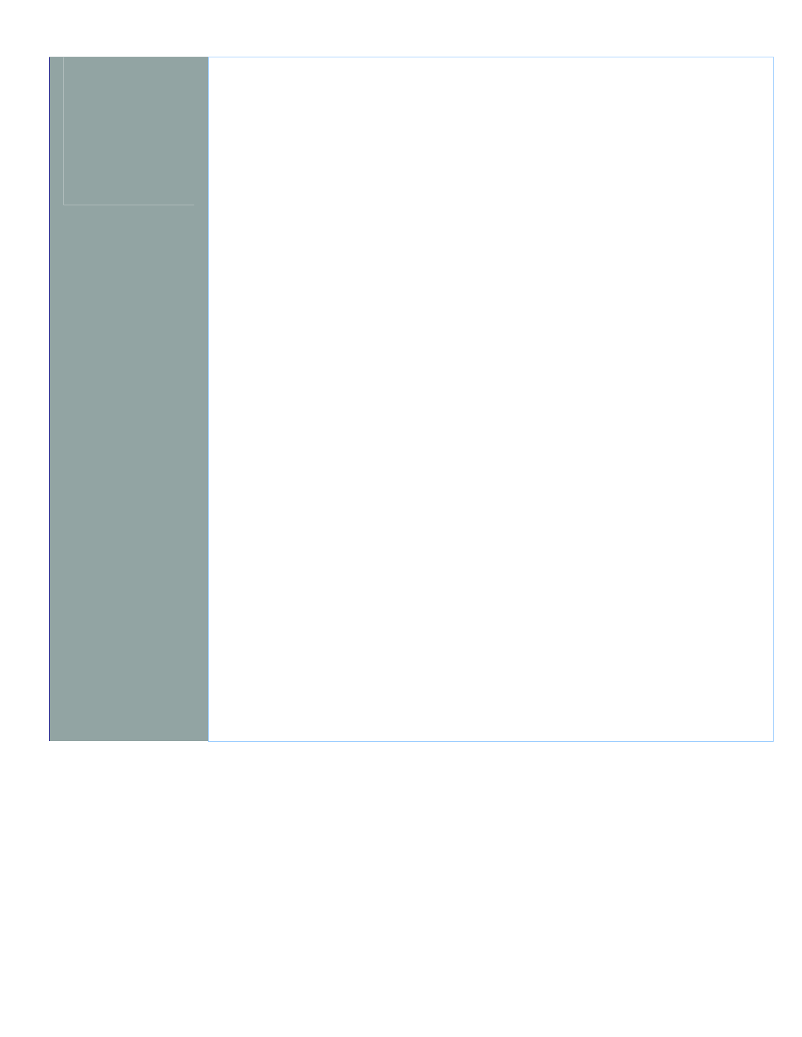